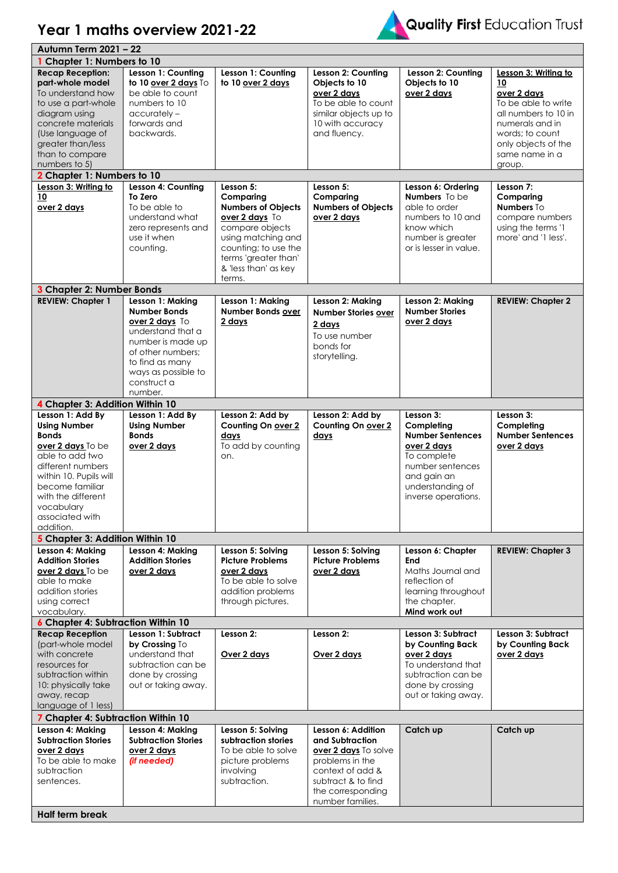## **Year 1 maths overview 2021-22**



|                                                                                                                                                                                                                                           | Autumn Term 2021 - 22                                                                                                                                                                        |                                                                                                                                                                                     |                                                                                                                                                                     |                                                                                                                                                                |                                                                                                                                                                                   |  |  |
|-------------------------------------------------------------------------------------------------------------------------------------------------------------------------------------------------------------------------------------------|----------------------------------------------------------------------------------------------------------------------------------------------------------------------------------------------|-------------------------------------------------------------------------------------------------------------------------------------------------------------------------------------|---------------------------------------------------------------------------------------------------------------------------------------------------------------------|----------------------------------------------------------------------------------------------------------------------------------------------------------------|-----------------------------------------------------------------------------------------------------------------------------------------------------------------------------------|--|--|
| 1 Chapter 1: Numbers to 10                                                                                                                                                                                                                |                                                                                                                                                                                              |                                                                                                                                                                                     |                                                                                                                                                                     |                                                                                                                                                                |                                                                                                                                                                                   |  |  |
| <b>Recap Reception:</b><br>part-whole model<br>To understand how<br>to use a part-whole<br>diagram using<br>concrete materials<br>(Use language of<br>greater than/less<br>than to compare<br>numbers to 5)<br>2 Chapter 1: Numbers to 10 | Lesson 1: Counting<br>to 10 over 2 days To<br>be able to count<br>numbers to 10<br>$accurately -$<br>forwards and<br>backwards.                                                              | Lesson 1: Counting<br>to 10 over 2 days                                                                                                                                             | Lesson 2: Counting<br>Objects to 10<br>over 2 days<br>To be able to count<br>similar objects up to<br>10 with accuracy<br>and fluency.                              | Lesson 2: Counting<br>Objects to 10<br>over 2 days                                                                                                             | Lesson 3: Writing to<br>10<br>over 2 days<br>To be able to write<br>all numbers to 10 in<br>numerals and in<br>words; to count<br>only objects of the<br>same name in a<br>group. |  |  |
| Lesson 3: Writing to                                                                                                                                                                                                                      | Lesson 4: Counting                                                                                                                                                                           | Lesson 5:                                                                                                                                                                           | Lesson 5:                                                                                                                                                           | Lesson 6: Ordering                                                                                                                                             | Lesson 7:                                                                                                                                                                         |  |  |
| 10<br>over 2 days                                                                                                                                                                                                                         | To Zero<br>To be able to<br>understand what<br>zero represents and<br>use it when<br>counting.                                                                                               | Comparing<br><b>Numbers of Objects</b><br>over 2 days To<br>compare objects<br>using matching and<br>counting; to use the<br>terms 'greater than'<br>& 'less than' as key<br>terms. | Comparing<br><b>Numbers of Objects</b><br>over 2 days                                                                                                               | <b>Numbers</b> To be<br>able to order<br>numbers to 10 and<br>know which<br>number is greater<br>or is lesser in value.                                        | Comparing<br><b>Numbers To</b><br>compare numbers<br>using the terms '1<br>more' and '1 less'.                                                                                    |  |  |
| 3 Chapter 2: Number Bonds                                                                                                                                                                                                                 |                                                                                                                                                                                              |                                                                                                                                                                                     |                                                                                                                                                                     |                                                                                                                                                                |                                                                                                                                                                                   |  |  |
| <b>REVIEW: Chapter 1</b>                                                                                                                                                                                                                  | Lesson 1: Making<br><b>Number Bonds</b><br>over 2 days To<br>understand that a<br>number is made up<br>of other numbers;<br>to find as many<br>ways as possible to<br>construct a<br>number. | Lesson 1: Making<br><b>Number Bonds over</b><br>2 days                                                                                                                              | Lesson 2: Making<br><b>Number Stories over</b><br>2 days<br>To use number<br>bonds for<br>storytelling.                                                             | Lesson 2: Making<br><b>Number Stories</b><br>over 2 days                                                                                                       | <b>REVIEW: Chapter 2</b>                                                                                                                                                          |  |  |
| 4 Chapter 3: Addition Within 10                                                                                                                                                                                                           |                                                                                                                                                                                              |                                                                                                                                                                                     |                                                                                                                                                                     |                                                                                                                                                                |                                                                                                                                                                                   |  |  |
| Lesson 1: Add By<br><b>Using Number</b><br><b>Bonds</b><br>over 2 days To be<br>able to add two<br>different numbers<br>within 10. Pupils will<br>become familiar<br>with the different<br>vocabulary<br>associated with<br>addition.     | Lesson 1: Add By<br><b>Using Number</b><br><b>Bonds</b><br>over 2 days                                                                                                                       | Lesson 2: Add by<br>Counting On over 2<br>days<br>To add by counting<br>on.                                                                                                         | Lesson 2: Add by<br>Counting On over 2<br>days                                                                                                                      | Lesson 3:<br>Completing<br><b>Number Sentences</b><br>over 2 days<br>To complete<br>number sentences<br>and gain an<br>understanding of<br>inverse operations. | Lesson 3:<br>Completing<br><b>Number Sentences</b><br>over 2 days                                                                                                                 |  |  |
| 5 Chapter 3: Addition Within 10                                                                                                                                                                                                           |                                                                                                                                                                                              |                                                                                                                                                                                     |                                                                                                                                                                     |                                                                                                                                                                |                                                                                                                                                                                   |  |  |
| Lesson 4: Making<br><b>Addition Stories</b><br>over 2 days To be<br>able to make<br>addition stories<br>using correct<br>vocabulary.                                                                                                      | Lesson 4: Making<br><b>Addition Stories</b><br>over 2 days                                                                                                                                   | Lesson 5: Solving<br><b>Picture Problems</b><br>over 2 days<br>To be able to solve<br>addition problems<br>through pictures.                                                        | Lesson 5: Solving<br><b>Picture Problems</b><br>over 2 days                                                                                                         | Lesson 6: Chapter<br>End<br>Maths Journal and<br>reflection of<br>learning throughout<br>the chapter.<br>Mind work out                                         | <b>REVIEW: Chapter 3</b>                                                                                                                                                          |  |  |
| <b>6 Chapter 4: Subtraction Within 10</b>                                                                                                                                                                                                 |                                                                                                                                                                                              |                                                                                                                                                                                     |                                                                                                                                                                     |                                                                                                                                                                |                                                                                                                                                                                   |  |  |
| <b>Recap Reception</b><br>(part-whole model<br>with concrete<br>resources for<br>subtraction within<br>10: physically take<br>away, recap<br>language of 1 less)                                                                          | Lesson 1: Subtract<br>by Crossing To<br>understand that<br>subtraction can be<br>done by crossing<br>out or taking away.                                                                     | Lesson 2:<br>Over 2 days                                                                                                                                                            | Lesson 2:<br>Over 2 days                                                                                                                                            | Lesson 3: Subtract<br>by Counting Back<br>over 2 days<br>To understand that<br>subtraction can be<br>done by crossing<br>out or taking away.                   | Lesson 3: Subtract<br>by Counting Back<br>over 2 days                                                                                                                             |  |  |
| 7 Chapter 4: Subtraction Within 10                                                                                                                                                                                                        |                                                                                                                                                                                              |                                                                                                                                                                                     |                                                                                                                                                                     |                                                                                                                                                                |                                                                                                                                                                                   |  |  |
| Lesson 4: Making<br><b>Subtraction Stories</b><br>over 2 days<br>To be able to make<br>subtraction<br>sentences.<br><b>Half term break</b>                                                                                                | Lesson 4: Making<br><b>Subtraction Stories</b><br>over 2 days<br>(if needed)                                                                                                                 | Lesson 5: Solving<br>subtraction stories<br>To be able to solve<br>picture problems<br>involving<br>subtraction.                                                                    | Lesson 6: Addition<br>and Subtraction<br>over 2 days To solve<br>problems in the<br>context of add &<br>subtract & to find<br>the corresponding<br>number families. | Catch up                                                                                                                                                       | Catch up                                                                                                                                                                          |  |  |
|                                                                                                                                                                                                                                           |                                                                                                                                                                                              |                                                                                                                                                                                     |                                                                                                                                                                     |                                                                                                                                                                |                                                                                                                                                                                   |  |  |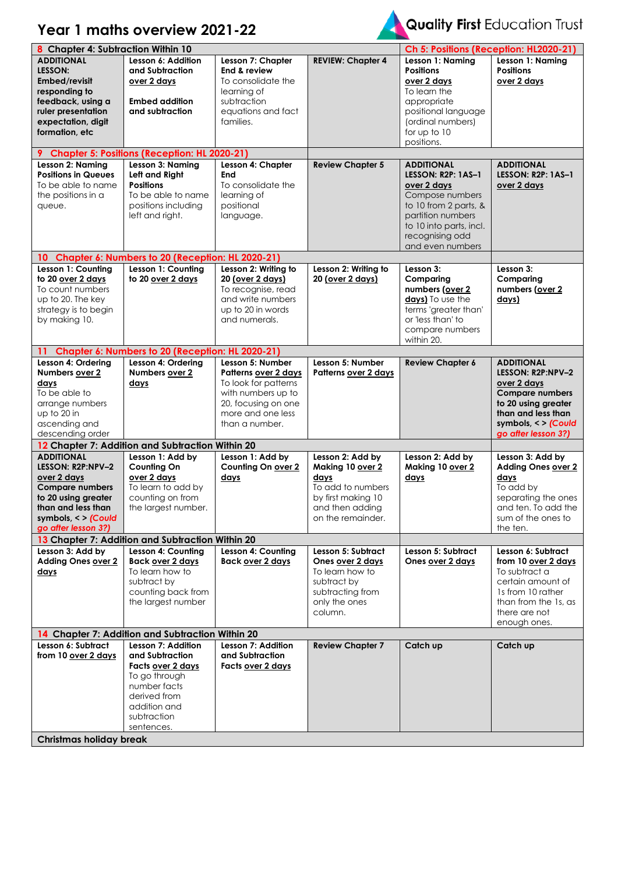## **Year 1 maths overview 2021-22**



## Quality First Education Trust

| 8 Chapter 4: Subtraction Within 10                                                                                                                                         |                                                                                                                                                                                 |                                                                                                                                                      |                                                                                                                                 | Ch 5: Positions (Reception: HL2020-21)                                                                                                                                                           |                                                                                                                                                                                |
|----------------------------------------------------------------------------------------------------------------------------------------------------------------------------|---------------------------------------------------------------------------------------------------------------------------------------------------------------------------------|------------------------------------------------------------------------------------------------------------------------------------------------------|---------------------------------------------------------------------------------------------------------------------------------|--------------------------------------------------------------------------------------------------------------------------------------------------------------------------------------------------|--------------------------------------------------------------------------------------------------------------------------------------------------------------------------------|
| <b>ADDITIONAL</b><br>LESSON:<br>Embed/revisit<br>responding to<br>feedback, using a<br>ruler presentation<br>expectation, digit<br>formation, etc                          | Lesson 6: Addition<br>and Subtraction<br>over 2 days<br><b>Embed addition</b><br>and subtraction                                                                                | Lesson 7: Chapter<br>End & review<br>To consolidate the<br>learning of<br>subtraction<br>equations and fact<br>families.                             | <b>REVIEW: Chapter 4</b>                                                                                                        | Lesson 1: Naming<br><b>Positions</b><br>over 2 days<br>To learn the<br>appropriate<br>positional language<br>(ordinal numbers)<br>for up to 10<br>positions.                                     | Lesson 1: Naming<br><b>Positions</b><br>over 2 days                                                                                                                            |
|                                                                                                                                                                            | 9 Chapter 5: Positions (Reception: HL 2020-21)                                                                                                                                  |                                                                                                                                                      |                                                                                                                                 |                                                                                                                                                                                                  |                                                                                                                                                                                |
| Lesson 2: Naming<br><b>Positions in Queues</b><br>To be able to name<br>the positions in a<br>queue.                                                                       | Lesson 3: Naming<br>Left and Right<br><b>Positions</b><br>To be able to name<br>positions including<br>left and right.                                                          | Lesson 4: Chapter<br><b>End</b><br>To consolidate the<br>learning of<br>positional<br>language.                                                      | <b>Review Chapter 5</b>                                                                                                         | <b>ADDITIONAL</b><br><b>LESSON: R2P: 1AS-1</b><br>over 2 days<br>Compose numbers<br>to 10 from 2 parts, &<br>partition numbers<br>to 10 into parts, incl.<br>recognising odd<br>and even numbers | <b>ADDITIONAL</b><br><b>LESSON: R2P: 1AS-1</b><br>over 2 days                                                                                                                  |
| Lesson 1: Counting                                                                                                                                                         | 10 Chapter 6: Numbers to 20 (Reception: HL 2020-21)<br>Lesson 1: Counting                                                                                                       | Lesson 2: Writing to                                                                                                                                 | Lesson 2: Writing to                                                                                                            | Lesson 3:                                                                                                                                                                                        | Lesson 3:                                                                                                                                                                      |
| to 20 over 2 days<br>To count numbers<br>up to 20. The key<br>strategy is to begin<br>by making 10.                                                                        | to 20 over 2 days                                                                                                                                                               | 20 (over 2 days)<br>To recognise, read<br>and write numbers<br>up to 20 in words<br>and numerals.                                                    | 20 (over 2 days)                                                                                                                | Comparing<br>numbers (over 2<br>davs) To use the<br>terms 'greater than'<br>or 'less than' to<br>compare numbers<br>within 20.                                                                   | Comparing<br>numbers (over 2<br>days)                                                                                                                                          |
| 11                                                                                                                                                                         | Chapter 6: Numbers to 20 (Reception: HL 2020-21)                                                                                                                                |                                                                                                                                                      |                                                                                                                                 |                                                                                                                                                                                                  |                                                                                                                                                                                |
| Lesson 4: Ordering<br>Numbers over 2<br>days<br>To be able to<br>arrange numbers<br>up to 20 in<br>ascending and<br>descending order                                       | Lesson 4: Ordering<br>Numbers over 2<br>days                                                                                                                                    | Lesson 5: Number<br>Patterns over 2 days<br>To look for patterns<br>with numbers up to<br>20, focusing on one<br>more and one less<br>than a number. | Lesson 5: Number<br>Patterns over 2 days                                                                                        | <b>Review Chapter 6</b>                                                                                                                                                                          | <b>ADDITIONAL</b><br>LESSON: R2P:NPV-2<br>over 2 days<br><b>Compare numbers</b><br>to 20 using greater<br>than and less than<br>symbols, $\lt$ > (Could<br>go after lesson 3?) |
|                                                                                                                                                                            | 12 Chapter 7: Addition and Subtraction Within 20                                                                                                                                |                                                                                                                                                      |                                                                                                                                 |                                                                                                                                                                                                  |                                                                                                                                                                                |
| <b>ADDITIONAL</b><br>LESSON: R2P:NPV-2<br>over 2 days<br><b>Compare numbers</b><br>to 20 using greater<br>than and less than<br>symbols, < > (Could<br>go after lesson 3?) | Lesson 1: Add by<br><b>Counting On</b><br>over 2 days<br>To learn to add by<br>counting on from<br>the largest number.                                                          | Lesson 1: Add by<br>Counting On over 2<br>days                                                                                                       | Lesson 2: Add by<br>Making 10 over 2<br>days<br>To add to numbers<br>by first making 10<br>and then adding<br>on the remainder. | Lesson 2: Add by<br>Making 10 over 2<br>days                                                                                                                                                     | Lesson 3: Add by<br><b>Adding Ones over 2</b><br>days<br>To add by<br>separating the ones<br>and ten. To add the<br>sum of the ones to<br>the ten.                             |
|                                                                                                                                                                            | 13 Chapter 7: Addition and Subtraction Within 20                                                                                                                                |                                                                                                                                                      |                                                                                                                                 |                                                                                                                                                                                                  |                                                                                                                                                                                |
| Lesson 3: Add by<br>Adding Ones over 2<br>days                                                                                                                             | Lesson 4: Counting<br><b>Back over 2 days</b><br>To learn how to<br>subtract by<br>counting back from<br>the largest number<br>14 Chapter 7: Addition and Subtraction Within 20 | Lesson 4: Counting<br>Back over 2 days                                                                                                               | Lesson 5: Subtract<br>Ones over 2 days<br>To learn how to<br>subtract by<br>subtracting from<br>only the ones<br>column.        | Lesson 5: Subtract<br>Ones over 2 days                                                                                                                                                           | Lesson 6: Subtract<br>from 10 over 2 days<br>To subtract a<br>certain amount of<br>1s from 10 rather<br>than from the 1s, as<br>there are not<br>enough ones.                  |
| Lesson 6: Subtract                                                                                                                                                         | <b>Lesson 7: Addition</b>                                                                                                                                                       | Lesson 7: Addition                                                                                                                                   | <b>Review Chapter 7</b>                                                                                                         | Catch up                                                                                                                                                                                         | Catch up                                                                                                                                                                       |
| from 10 over 2 days                                                                                                                                                        | and Subtraction<br>Facts over 2 days<br>To go through<br>number facts<br>derived from<br>addition and<br>subtraction<br>sentences.                                              | and Subtraction<br>Facts over 2 days                                                                                                                 |                                                                                                                                 |                                                                                                                                                                                                  |                                                                                                                                                                                |
| <b>Christmas holiday break</b>                                                                                                                                             |                                                                                                                                                                                 |                                                                                                                                                      |                                                                                                                                 |                                                                                                                                                                                                  |                                                                                                                                                                                |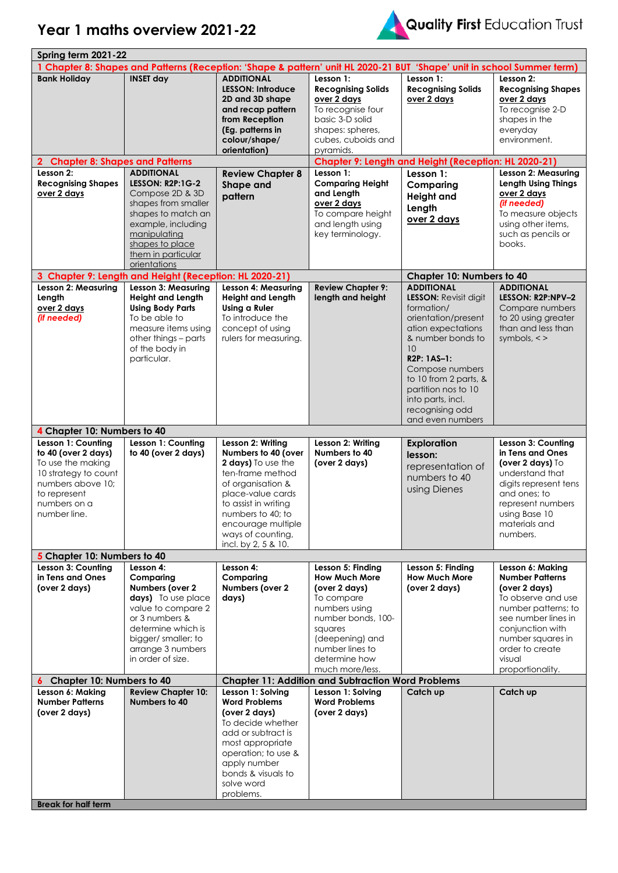



| Spring term 2021-22                                                                                                                                         |                                                                                                                                                                                                             |                                                                                                                                                                                                                                             |                                                                                                                                                                                                      |                                                                                                                                                                                                                                                                                              |                                                                                                                                                                                                                           |
|-------------------------------------------------------------------------------------------------------------------------------------------------------------|-------------------------------------------------------------------------------------------------------------------------------------------------------------------------------------------------------------|---------------------------------------------------------------------------------------------------------------------------------------------------------------------------------------------------------------------------------------------|------------------------------------------------------------------------------------------------------------------------------------------------------------------------------------------------------|----------------------------------------------------------------------------------------------------------------------------------------------------------------------------------------------------------------------------------------------------------------------------------------------|---------------------------------------------------------------------------------------------------------------------------------------------------------------------------------------------------------------------------|
| 1 Chapter 8: Shapes and Patterns (Reception: 'Shape & pattern' unit HL 2020-21 BUT 'Shape' unit in school Summer term)                                      |                                                                                                                                                                                                             |                                                                                                                                                                                                                                             |                                                                                                                                                                                                      |                                                                                                                                                                                                                                                                                              |                                                                                                                                                                                                                           |
| <b>Bank Holiday</b>                                                                                                                                         | <b>INSET day</b>                                                                                                                                                                                            | <b>ADDITIONAL</b><br><b>LESSON: Introduce</b><br>2D and 3D shape<br>and recap pattern<br>from Reception<br>(Eg. patterns in<br>colour/shape/<br>orientation)                                                                                | Lesson 1:<br><b>Recognising Solids</b><br>over 2 days<br>To recognise four<br>basic 3-D solid<br>shapes: spheres,<br>cubes, cuboids and<br>pyramids.                                                 | Lesson 1:<br><b>Recognising Solids</b><br>over 2 days                                                                                                                                                                                                                                        | Lesson 2:<br><b>Recognising Shapes</b><br>over 2 days<br>To recognise 2-D<br>shapes in the<br>everyday<br>environment.                                                                                                    |
| <b>Chapter 8: Shapes and Patterns</b><br>$\mathbf{2}$                                                                                                       |                                                                                                                                                                                                             |                                                                                                                                                                                                                                             | Chapter 9: Length and Height (Reception: HL 2020-21)                                                                                                                                                 |                                                                                                                                                                                                                                                                                              |                                                                                                                                                                                                                           |
| Lesson 2:<br><b>Recognising Shapes</b><br>over 2 days                                                                                                       | <b>ADDITIONAL</b><br><b>LESSON: R2P:1G-2</b><br>Compose 2D & 3D<br>shapes from smaller<br>shapes to match an<br>example, including<br>manipulating<br>shapes to place<br>them in particular<br>orientations | <b>Review Chapter 8</b><br>Shape and<br>pattern                                                                                                                                                                                             | Lesson 1:<br><b>Comparing Height</b><br>and Length<br>over 2 days<br>To compare height<br>and length using<br>key terminology.                                                                       | Lesson 1:<br>Comparing<br><b>Height and</b><br>Length<br>over 2 days                                                                                                                                                                                                                         | Lesson 2: Measuring<br><b>Length Using Things</b><br>over 2 days<br>(if needed)<br>To measure objects<br>using other items,<br>such as pencils or<br>books.                                                               |
|                                                                                                                                                             | 3 Chapter 9: Length and Height (Reception: HL 2020-21)                                                                                                                                                      |                                                                                                                                                                                                                                             |                                                                                                                                                                                                      | <b>Chapter 10: Numbers to 40</b>                                                                                                                                                                                                                                                             |                                                                                                                                                                                                                           |
| Lesson 2: Measuring<br>Length<br>over 2 days<br>(if needed)                                                                                                 | <b>Lesson 3: Measuring</b><br><b>Height and Length</b><br><b>Using Body Parts</b><br>To be able to<br>measure items using<br>other things - parts<br>of the body in<br>particular.                          | <b>Lesson 4: Measuring</b><br><b>Height and Length</b><br><b>Using a Ruler</b><br>To introduce the<br>concept of using<br>rulers for measuring.                                                                                             | <b>Review Chapter 9:</b><br>length and height                                                                                                                                                        | <b>ADDITIONAL</b><br><b>LESSON: Revisit digit</b><br>formation/<br>orientation/present<br>ation expectations<br>& number bonds to<br>10<br><b>R2P: 1AS-1:</b><br>Compose numbers<br>to 10 from 2 parts, &<br>partition nos to 10<br>into parts, incl.<br>recognising odd<br>and even numbers | <b>ADDITIONAL</b><br>LESSON: R2P:NPV-2<br>Compare numbers<br>to 20 using greater<br>than and less than<br>symbols, $\lt$ >                                                                                                |
| 4 Chapter 10: Numbers to 40                                                                                                                                 |                                                                                                                                                                                                             |                                                                                                                                                                                                                                             |                                                                                                                                                                                                      |                                                                                                                                                                                                                                                                                              |                                                                                                                                                                                                                           |
| Lesson 1: Counting<br>to 40 (over 2 days)<br>To use the making<br>10 strategy to count<br>numbers above 10;<br>to represent<br>numbers on a<br>number line. | Lesson 1: Counting<br>to 40 (over 2 days)                                                                                                                                                                   | Lesson 2: Writing<br>Numbers to 40 (over<br>2 days) To use the<br>ten-frame method<br>of organisation &<br>place-value cards<br>to assist in writing<br>numbers to 40; to<br>encourage multiple<br>ways of counting,<br>incl. by 2, 5 & 10. | Lesson 2: Writing<br>Numbers to 40<br>(over 2 days)                                                                                                                                                  | <b>Exploration</b><br>lesson:<br>representation of<br>numbers to 40<br>using Dienes                                                                                                                                                                                                          | Lesson 3: Counting<br>in Tens and Ones<br>(over 2 days) $\text{To}$<br>understand that<br>digits represent tens<br>and ones; to<br>represent numbers<br>using Base 10<br>materials and<br>numbers.                        |
| 5 Chapter 10: Numbers to 40                                                                                                                                 |                                                                                                                                                                                                             |                                                                                                                                                                                                                                             |                                                                                                                                                                                                      |                                                                                                                                                                                                                                                                                              |                                                                                                                                                                                                                           |
| Lesson 3: Counting<br>in Tens and Ones<br>(over 2 days)                                                                                                     | Lesson 4:<br>Comparing<br>Numbers (over 2<br>days) To use place<br>value to compare 2<br>or 3 numbers &<br>determine which is<br>bigger/ smaller; to<br>arrange 3 numbers<br>in order of size.              | Lesson 4:<br>Comparing<br>Numbers (over 2<br>days)                                                                                                                                                                                          | Lesson 5: Finding<br><b>How Much More</b><br>(over 2 days)<br>To compare<br>numbers using<br>number bonds, 100-<br>squares<br>(deepening) and<br>number lines to<br>determine how<br>much more/less. | Lesson 5: Finding<br><b>How Much More</b><br>(over 2 days)                                                                                                                                                                                                                                   | Lesson 6: Making<br><b>Number Patterns</b><br>(over 2 days)<br>To observe and use<br>number patterns; to<br>see number lines in<br>conjunction with<br>number squares in<br>order to create<br>visual<br>proportionality. |
| Chapter 10: Numbers to 40<br>6                                                                                                                              |                                                                                                                                                                                                             |                                                                                                                                                                                                                                             | <b>Chapter 11: Addition and Subtraction Word Problems</b>                                                                                                                                            |                                                                                                                                                                                                                                                                                              |                                                                                                                                                                                                                           |
| Lesson 6: Making<br><b>Number Patterns</b><br>(over 2 days)<br><b>Break for half term</b>                                                                   | <b>Review Chapter 10:</b><br>Numbers to 40                                                                                                                                                                  | Lesson 1: Solving<br><b>Word Problems</b><br>(over 2 days)<br>To decide whether<br>add or subtract is<br>most appropriate<br>operation; to use &<br>apply number<br>bonds & visuals to<br>solve word<br>problems.                           | Lesson 1: Solving<br><b>Word Problems</b><br>(over 2 days)                                                                                                                                           | Catch up                                                                                                                                                                                                                                                                                     | Catch up                                                                                                                                                                                                                  |